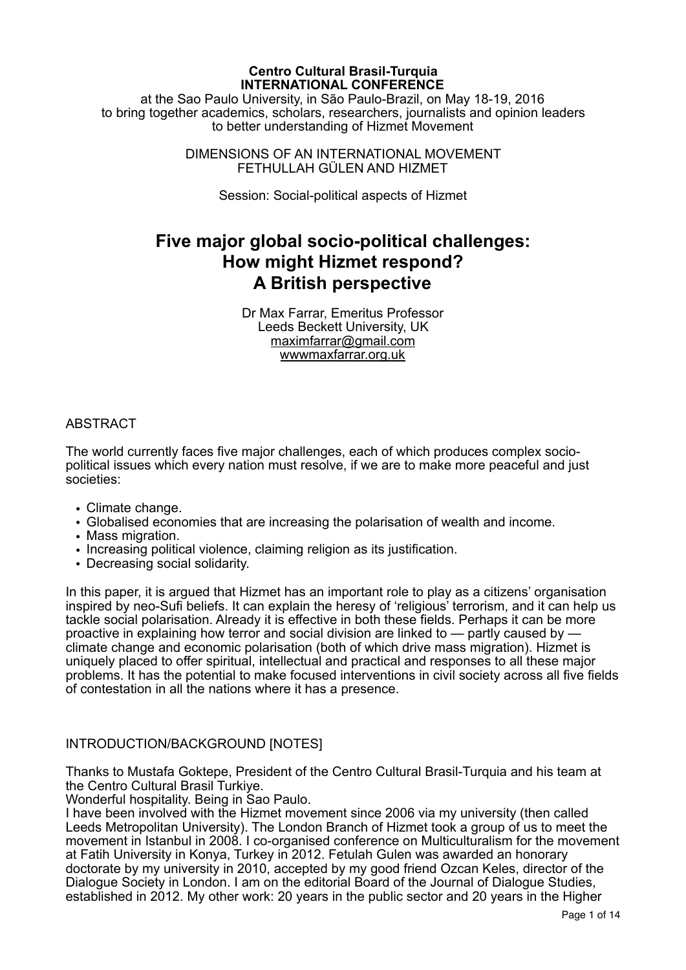#### **Centro Cultural Brasil-Turquia INTERNATIONAL CONFERENCE**

at the Sao Paulo University, in São Paulo-Brazil, on May 18-19, 2016 to bring together academics, scholars, researchers, journalists and opinion leaders to better understanding of Hizmet Movement

> DIMENSIONS OF AN INTERNATIONAL MOVEMENT FETHULLAH GÜLEN AND HIZMET

> > Session: Social-political aspects of Hizmet

# **Five major global socio-political challenges: How might Hizmet respond? A British perspective**

Dr Max Farrar, Emeritus Professor Leeds Beckett University, UK [maximfarrar@gmail.com](mailto:maximfarrar@gmail.com) [wwwmaxfarrar.org.uk](http://wwwmaxfarrar.org.uk) 

#### **ABSTRACT**

The world currently faces five major challenges, each of which produces complex sociopolitical issues which every nation must resolve, if we are to make more peaceful and just societies:

- Climate change.
- Globalised economies that are increasing the polarisation of wealth and income.
- Mass migration.
- Increasing political violence, claiming religion as its justification.
- Decreasing social solidarity.

In this paper, it is argued that Hizmet has an important role to play as a citizens' organisation inspired by neo-Sufi beliefs. It can explain the heresy of 'religious' terrorism, and it can help us tackle social polarisation. Already it is effective in both these fields. Perhaps it can be more proactive in explaining how terror and social division are linked to — partly caused by climate change and economic polarisation (both of which drive mass migration). Hizmet is uniquely placed to offer spiritual, intellectual and practical and responses to all these major problems. It has the potential to make focused interventions in civil society across all five fields of contestation in all the nations where it has a presence.

## INTRODUCTION/BACKGROUND [NOTES]

Thanks to Mustafa Goktepe, President of the Centro Cultural Brasil-Turquia and his team at the Centro Cultural Brasil Turkiye.

Wonderful hospitality. Being in Sao Paulo.

I have been involved with the Hizmet movement since 2006 via my university (then called Leeds Metropolitan University). The London Branch of Hizmet took a group of us to meet the movement in Istanbul in 2008. I co-organised conference on Multiculturalism for the movement at Fatih University in Konya, Turkey in 2012. Fetulah Gulen was awarded an honorary doctorate by my university in 2010, accepted by my good friend Ozcan Keles, director of the Dialogue Society in London. I am on the editorial Board of the Journal of Dialogue Studies, established in 2012. My other work: 20 years in the public sector and 20 years in the Higher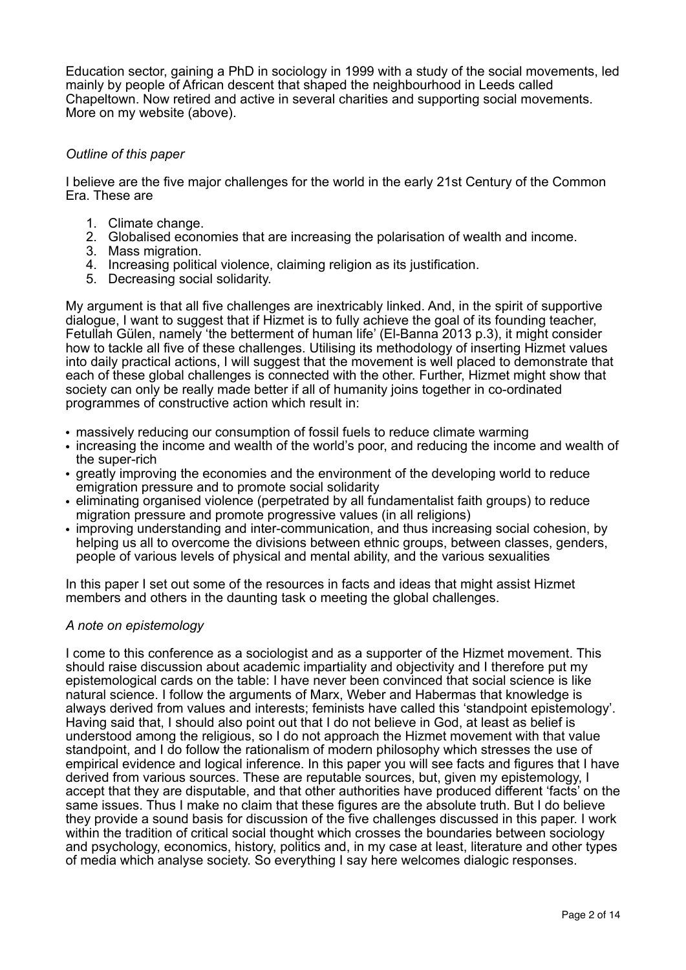Education sector, gaining a PhD in sociology in 1999 with a study of the social movements, led mainly by people of African descent that shaped the neighbourhood in Leeds called Chapeltown. Now retired and active in several charities and supporting social movements. More on my website (above).

#### *Outline of this paper*

I believe are the five major challenges for the world in the early 21st Century of the Common Era. These are

- 1. Climate change.
- 2. Globalised economies that are increasing the polarisation of wealth and income.
- 3. Mass migration.
- 4. Increasing political violence, claiming religion as its justification.
- 5. Decreasing social solidarity.

My argument is that all five challenges are inextricably linked. And, in the spirit of supportive dialogue, I want to suggest that if Hizmet is to fully achieve the goal of its founding teacher, Fetullah Gülen, namely 'the betterment of human life' (El-Banna 2013 p.3), it might consider how to tackle all five of these challenges. Utilising its methodology of inserting Hizmet values into daily practical actions, I will suggest that the movement is well placed to demonstrate that each of these global challenges is connected with the other. Further, Hizmet might show that society can only be really made better if all of humanity joins together in co-ordinated programmes of constructive action which result in:

- massively reducing our consumption of fossil fuels to reduce climate warming
- increasing the income and wealth of the world's poor, and reducing the income and wealth of the super-rich
- greatly improving the economies and the environment of the developing world to reduce emigration pressure and to promote social solidarity
- eliminating organised violence (perpetrated by all fundamentalist faith groups) to reduce migration pressure and promote progressive values (in all religions)
- improving understanding and inter-communication, and thus increasing social cohesion, by helping us all to overcome the divisions between ethnic groups, between classes, genders, people of various levels of physical and mental ability, and the various sexualities

In this paper I set out some of the resources in facts and ideas that might assist Hizmet members and others in the daunting task o meeting the global challenges.

#### *A note on epistemology*

I come to this conference as a sociologist and as a supporter of the Hizmet movement. This should raise discussion about academic impartiality and objectivity and I therefore put my epistemological cards on the table: I have never been convinced that social science is like natural science. I follow the arguments of Marx, Weber and Habermas that knowledge is always derived from values and interests; feminists have called this 'standpoint epistemology'. Having said that, I should also point out that I do not believe in God, at least as belief is understood among the religious, so I do not approach the Hizmet movement with that value standpoint, and I do follow the rationalism of modern philosophy which stresses the use of empirical evidence and logical inference. In this paper you will see facts and figures that I have derived from various sources. These are reputable sources, but, given my epistemology, I accept that they are disputable, and that other authorities have produced different 'facts' on the same issues. Thus I make no claim that these figures are the absolute truth. But I do believe they provide a sound basis for discussion of the five challenges discussed in this paper. I work within the tradition of critical social thought which crosses the boundaries between sociology and psychology, economics, history, politics and, in my case at least, literature and other types of media which analyse society. So everything I say here welcomes dialogic responses.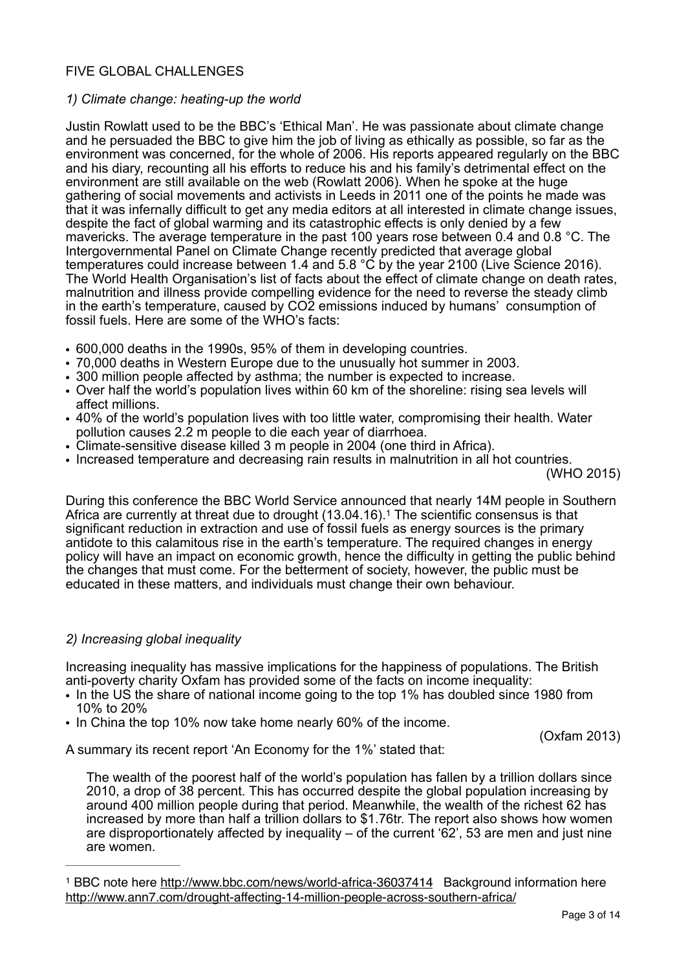### FIVE GLOBAL CHALLENGES

#### *1) Climate change: heating-up the world*

Justin Rowlatt used to be the BBC's 'Ethical Man'. He was passionate about climate change and he persuaded the BBC to give him the job of living as ethically as possible, so far as the environment was concerned, for the whole of 2006. His reports appeared regularly on the BBC and his diary, recounting all his efforts to reduce his and his family's detrimental effect on the environment are still available on the web (Rowlatt 2006). When he spoke at the huge gathering of social movements and activists in Leeds in 2011 one of the points he made was that it was infernally difficult to get any media editors at all interested in climate change issues, despite the fact of global warming and its catastrophic effects is only denied by a few mavericks. The average temperature in the past 100 years rose between 0.4 and 0.8 °C. The Intergovernmental Panel on Climate Change recently predicted that average global temperatures could increase between 1.4 and 5.8 °C by the year 2100 (Live Science 2016). The World Health Organisation's list of facts about the effect of climate change on death rates, malnutrition and illness provide compelling evidence for the need to reverse the steady climb in the earth's temperature, caused by CO2 emissions induced by humans' consumption of fossil fuels. Here are some of the WHO's facts:

- *•* 600,000 deaths in the 1990s, 95% of them in developing countries.
- *•* 70,000 deaths in Western Europe due to the unusually hot summer in 2003.
- *•* 300 million people affected by asthma; the number is expected to increase.
- *•* Over half the world's population lives within 60 km of the shoreline: rising sea levels will affect millions.
- *•* 40% of the world's population lives with too little water, compromising their health. Water pollution causes 2.2 m people to die each year of diarrhoea.
- *•* Climate-sensitive disease killed 3 m people in 2004 (one third in Africa).
- *•* Increased temperature and decreasing rain results in malnutrition in all hot countries.

<span id="page-2-1"></span>(WHO 2015)

During this conference the BBC World Service announced that nearly 14M people in Southern Africa are currently at threat due to drought (13[.](#page-2-0)04.[1](#page-2-0)6).<sup>1</sup> The scientific consensus is that significant reduction in extraction and use of fossil fuels as energy sources is the primary antidote to this calamitous rise in the earth's temperature. The required changes in energy policy will have an impact on economic growth, hence the difficulty in getting the public behind the changes that must come. For the betterment of society, however, the public must be educated in these matters, and individuals must change their own behaviour.

#### *2) Increasing global inequality*

Increasing inequality has massive implications for the happiness of populations. The British anti-poverty charity Oxfam has provided some of the facts on income inequality:

- In the US the share of national income going to the top 1% has doubled since 1980 from 10% to 20%
- In China the top 10% now take home nearly 60% of the income.

(Oxfam 2013)

A summary its recent report 'An Economy for the 1%' stated that:

The wealth of the poorest half of the world's population has fallen by a trillion dollars since 2010, a drop of 38 percent. This has occurred despite the global population increasing by around 400 million people during that period. Meanwhile, the wealth of the richest 62 has increased by more than half a trillion dollars to \$1.76tr. The report also shows how women are disproportionately affected by inequality – of the current '62', 53 are men and just nine are women.

<span id="page-2-0"></span><sup>&</sup>lt;sup>1</sup> BBC note here<http://www.bbc.com/news/world-africa-36037414>Background information here <http://www.ann7.com/drought-affecting-14-million-people-across-southern-africa/>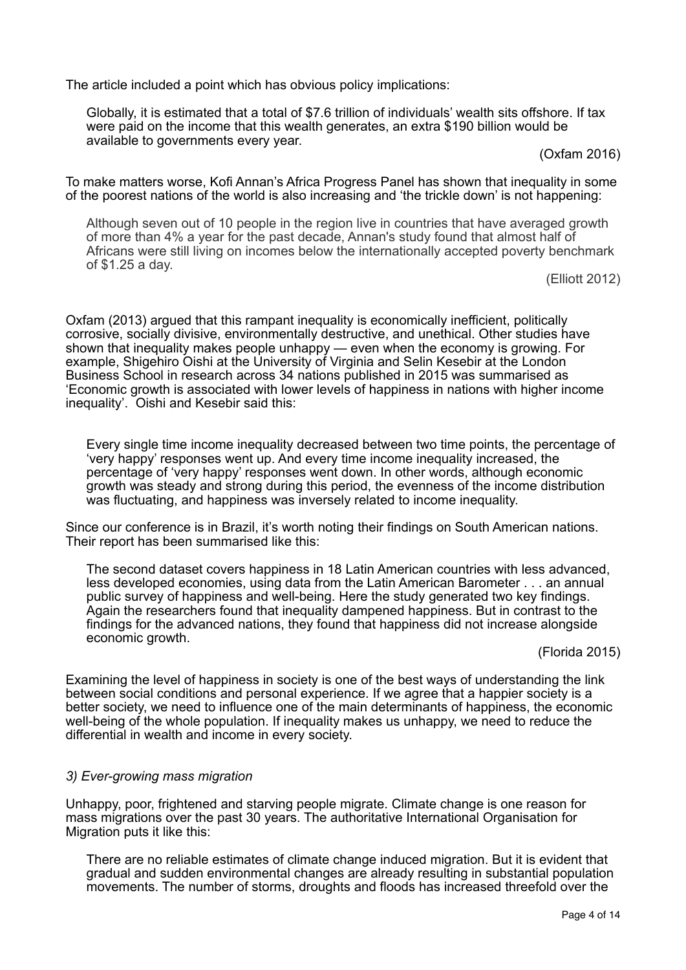The article included a point which has obvious policy implications:

Globally, it is estimated that a total of \$7.6 trillion of individuals' wealth sits offshore. If tax were paid on the income that this wealth generates, an extra \$190 billion would be available to governments every year.

(Oxfam 2016)

To make matters worse, Kofi Annan's Africa Progress Panel has shown that inequality in some of the poorest nations of the world is also increasing and 'the trickle down' is not happening:

Although seven out of 10 people in the region live in countries that have averaged growth of more than 4% a year for the past decade, Annan's study found that almost half of Africans were still living on incomes below the internationally accepted poverty benchmark of \$1.25 a day.

(Elliott 2012)

Oxfam (2013) argued that this rampant inequality is economically inefficient, politically corrosive, socially divisive, environmentally destructive, and unethical. Other studies have shown that inequality makes people unhappy — even when the economy is growing. For example, Shigehiro Oishi at the University of Virginia and Selin Kesebir at the London Business School in research across 34 nations published in 2015 was summarised as 'Economic growth is associated with lower levels of happiness in nations with higher income inequality'. Oishi and Kesebir said this:

Every single time income inequality decreased between two time points, the percentage of 'very happy' responses went up. And every time income inequality increased, the percentage of 'very happy' responses went down. In other words, although economic growth was steady and strong during this period, the evenness of the income distribution was fluctuating, and happiness was inversely related to income inequality.

Since our conference is in Brazil, it's worth noting their findings on South American nations. Their report has been summarised like this:

The second dataset covers happiness in 18 Latin American countries with less advanced, less developed economies, using data from the Latin American Barometer . . . an annual public survey of happiness and well-being. Here the study generated two key findings. Again the researchers found that inequality dampened happiness. But in contrast to the findings for the advanced nations, they found that happiness did not increase alongside economic growth.

(Florida 2015)

Examining the level of happiness in society is one of the best ways of understanding the link between social conditions and personal experience. If we agree that a happier society is a better society, we need to influence one of the main determinants of happiness, the economic well-being of the whole population. If inequality makes us unhappy, we need to reduce the differential in wealth and income in every society.

#### *3) Ever-growing mass migration*

Unhappy, poor, frightened and starving people migrate. Climate change is one reason for mass migrations over the past 30 years. The authoritative International Organisation for Migration puts it like this:

There are no reliable estimates of climate change induced migration. But it is evident that gradual and sudden environmental changes are already resulting in substantial population movements. The number of storms, droughts and floods has increased threefold over the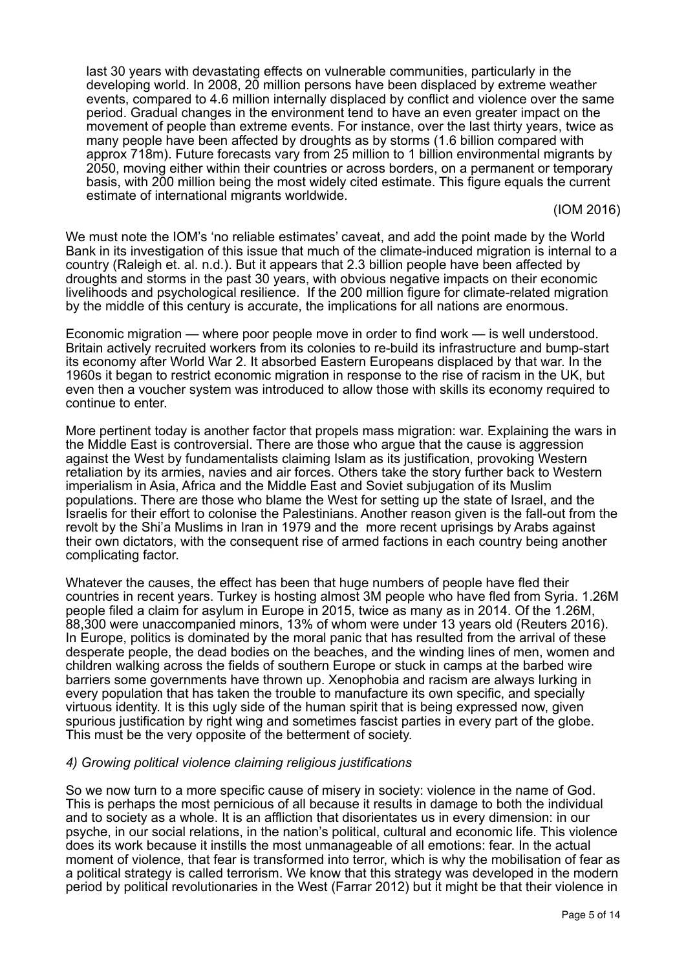last 30 years with devastating effects on vulnerable communities, particularly in the developing world. In 2008, [20 million persons](http://www.internal-displacement.org/8025708F004BE3B1/%28httpInfoFiles%29/12E8C7224C2A6A9EC125763900315AD4/$file/monitoring-disaster-displacement.pdf) have been displaced by extreme weather events, compared to [4.6 million](http://www.internal-displacement.org/8025708F004BE3B1/%28httpInfoFiles%29/12E8C7224C2A6A9EC125763900315AD4/$file/monitoring-disaster-displacement.pdf) internally displaced by conflict and violence over the same period. Gradual changes in the environment tend to have an even greater impact on the movement of people than extreme events. For instance, over the last thirty years, twice as many people have been affected by droughts as by storms (1.6 billion compared with [approx 718m\). Future forecasts vary from 25 million to 1 billion environmental migran](http://www.emdat.be/)[ts](https://www.iom.int/definitional-issues) by 2050, moving either within their countries or across borders, on a permanent or temporary basis, with 200 million being the most widely cited estimate. This figure equals the current estimate of international migrants worldwide.

(IOM 2016)

We must note the IOM's 'no reliable estimates' caveat, and add the point made by the World Bank in its investigation of this issue that much of the climate-induced migration is internal to a country (Raleigh et. al. n.d.). But it appears that 2.3 billion people have been affected by droughts and storms in the past 30 years, with obvious negative impacts on their economic livelihoods and psychological resilience. If the 200 million figure for climate-related migration by the middle of this century is accurate, the implications for all nations are enormous.

Economic migration — where poor people move in order to find work — is well understood. Britain actively recruited workers from its colonies to re-build its infrastructure and bump-start its economy after World War 2. It absorbed Eastern Europeans displaced by that war. In the 1960s it began to restrict economic migration in response to the rise of racism in the UK, but even then a voucher system was introduced to allow those with skills its economy required to continue to enter.

More pertinent today is another factor that propels mass migration: war. Explaining the wars in the Middle East is controversial. There are those who argue that the cause is aggression against the West by fundamentalists claiming Islam as its justification, provoking Western retaliation by its armies, navies and air forces. Others take the story further back to Western imperialism in Asia, Africa and the Middle East and Soviet subjugation of its Muslim populations. There are those who blame the West for setting up the state of Israel, and the Israelis for their effort to colonise the Palestinians. Another reason given is the fall-out from the revolt by the Shi'a Muslims in Iran in 1979 and the more recent uprisings by Arabs against their own dictators, with the consequent rise of armed factions in each country being another complicating factor.

Whatever the causes, the effect has been that huge numbers of people have fled their countries in recent years. Turkey is hosting almost 3M people who have fled from Syria. 1.26M people filed a claim for asylum in Europe in 2015, twice as many as in 2014. Of the 1.26M, 88,300 were unaccompanied minors, 13% of whom were under 13 years old (Reuters 2016). In Europe, politics is dominated by the moral panic that has resulted from the arrival of these desperate people, the dead bodies on the beaches, and the winding lines of men, women and children walking across the fields of southern Europe or stuck in camps at the barbed wire barriers some governments have thrown up. Xenophobia and racism are always lurking in every population that has taken the trouble to manufacture its own specific, and specially virtuous identity. It is this ugly side of the human spirit that is being expressed now, given spurious justification by right wing and sometimes fascist parties in every part of the globe. This must be the very opposite of the betterment of society.

#### *4) Growing political violence claiming religious justifications*

So we now turn to a more specific cause of misery in society: violence in the name of God. This is perhaps the most pernicious of all because it results in damage to both the individual and to society as a whole. It is an affliction that disorientates us in every dimension: in our psyche, in our social relations, in the nation's political, cultural and economic life. This violence does its work because it instills the most unmanageable of all emotions: fear. In the actual moment of violence, that fear is transformed into terror, which is why the mobilisation of fear as a political strategy is called terrorism. We know that this strategy was developed in the modern period by political revolutionaries in the West (Farrar 2012) but it might be that their violence in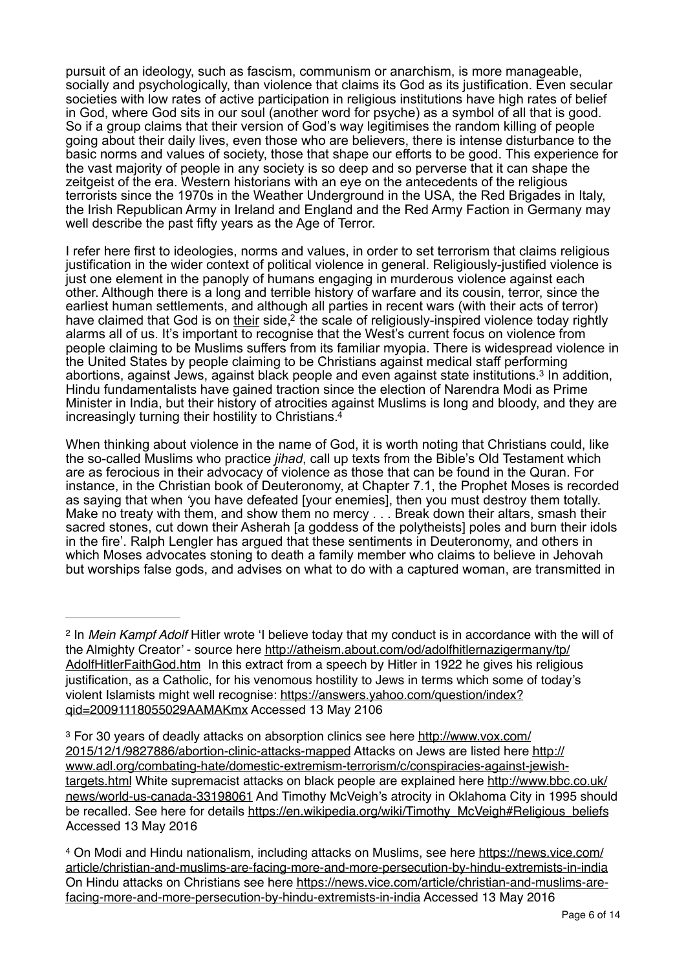pursuit of an ideology, such as fascism, communism or anarchism, is more manageable, socially and psychologically, than violence that claims its God as its justification. Even secular societies with low rates of active participation in religious institutions have high rates of belief in God, where God sits in our soul (another word for psyche) as a symbol of all that is good. So if a group claims that their version of God's way legitimises the random killing of people going about their daily lives, even those who are believers, there is intense disturbance to the basic norms and values of society, those that shape our efforts to be good. This experience for the vast majority of people in any society is so deep and so perverse that it can shape the zeitgeist of the era. Western historians with an eye on the antecedents of the religious terrorists since the 1970s in the Weather Underground in the USA, the Red Brigades in Italy, the Irish Republican Army in Ireland and England and the Red Army Faction in Germany may well describe the past fifty years as the Age of Terror.

<span id="page-5-3"></span>I refer here first to ideologies, norms and values, in order to set terrorism that claims religious justification in the wider context of political violence in general. Religiously-justified violence is just one element in the panoply of humans engaging in murderous violence against each other. Although there is a long and terrible history of warfare and its cousin, terror, since the earliest human settlements, and although all parties in recent wars (with their acts of terror) have claimed that God is on their side, $2$  the scale of religiously-inspired violence today rightly alarms all of us. It's important to recognise that the West's current focus on violence from people claiming to be Muslims suffers from its familiar myopia. There is widespread violence in the United States by people claiming to be Christians against medical staff performing abortions, against Jews, against black people and even against state institutions[.](#page-5-1)<sup>[3](#page-5-1)</sup> In addition, Hindu fundamentalists have gained traction since the election of Narendra Modi as Prime Minister in India, but their history of atrocities against Muslims is long and bloody, and they are increasingly turning their hostility to Christians[.](#page-5-2) [4](#page-5-2)

<span id="page-5-5"></span><span id="page-5-4"></span>When thinking about violence in the name of God, it is worth noting that Christians could, like the so-called Muslims who practice *jihad*, call up texts from the Bible's Old Testament which are as ferocious in their advocacy of violence as those that can be found in the Quran. For instance, in the Christian book of Deuteronomy, at Chapter 7.1, the Prophet Moses is recorded as saying that when *'*you have defeated [your enemies], then you must destroy them totally. Make no treaty with them, and show them no mercy . . . Break down their altars, smash their sacred stones, cut down their Asherah [a goddess of the polytheists] poles and burn their idols in the fire'. Ralph Lengler has argued that these sentiments in Deuteronomy, and others in which Moses advocates stoning to death a family member who claims to believe in Jehovah but worships false gods, and advises on what to do with a captured woman, are transmitted in

<span id="page-5-0"></span><sup>&</sup>lt;sup>[2](#page-5-3)</sup> In *Mein Kampf Adolf* Hitler wrote 'I believe today that my conduct is in accordance with the will of [the Almighty Creator' - source here http://atheism.about.com/od/adolfhitlernazigermany/tp/](http://atheism.about.com/od/adolfhitlernazigermany/tp/AdolfHitlerFaithGod.htm) AdolfHitlerFaithGod.htm In this extract from a speech by Hitler in 1922 he gives his religious justification, as a Catholic, for his venomous hostility to Jews in terms which some of today's [violent Islamists might well recognise: https://answers.yahoo.com/question/index?](https://answers.yahoo.com/question/index?qid=20091118055029AAMAKmx) qid=20091118055029AAMAKmx Accessed 13 May 2106

<span id="page-5-1"></span><sup>&</sup>lt;sup>3</sup> [For 30 years of deadly attacks on absorption clinics see here http://www.vox.com/](http://www.vox.com/2015/12/1/9827886/abortion-clinic-attacks-mapped) 2015/12/1/9827886/abortion-clinic-attacks-mapped Attacks on Jews are listed here http:// [www.adl.org/combating-hate/domestic-extremism-terrorism/c/conspiracies-against-jewish](http://www.adl.org/combating-hate/domestic-extremism-terrorism/c/conspiracies-against-jewish-targets.html)[targets.html White supremacist attacks on black people are explained here http://www.bbc.co.uk/](http://www.bbc.co.uk/news/world-us-canada-33198061) news/world-us-canada-33198061 And Timothy McVeigh's atrocity in Oklahoma City in 1995 should be recalled. See here for details [https://en.wikipedia.org/wiki/Timothy\\_McVeigh#Religious\\_beliefs](https://en.wikipedia.org/wiki/Timothy_McVeigh#Religious_beliefs) Accessed 13 May 2016

<span id="page-5-2"></span>[On Modi and Hindu nationalism, including attacks on Muslims, see here https://news.vice.com/](https://news.vice.com/article/christian-and-muslims-are-facing-more-and-more-persecution-by-hindu-extremists-in-india) [4](#page-5-5) article/christian-and-muslims-are-facing-more-and-more-persecution-by-hindu-extremists-in-india [On Hindu attacks on Christians see here https://news.vice.com/article/christian-and-muslims-are](https://news.vice.com/article/christian-and-muslims-are-facing-more-and-more-persecution-by-hindu-extremists-in-india)facing-more-and-more-persecution-by-hindu-extremists-in-india Accessed 13 May 2016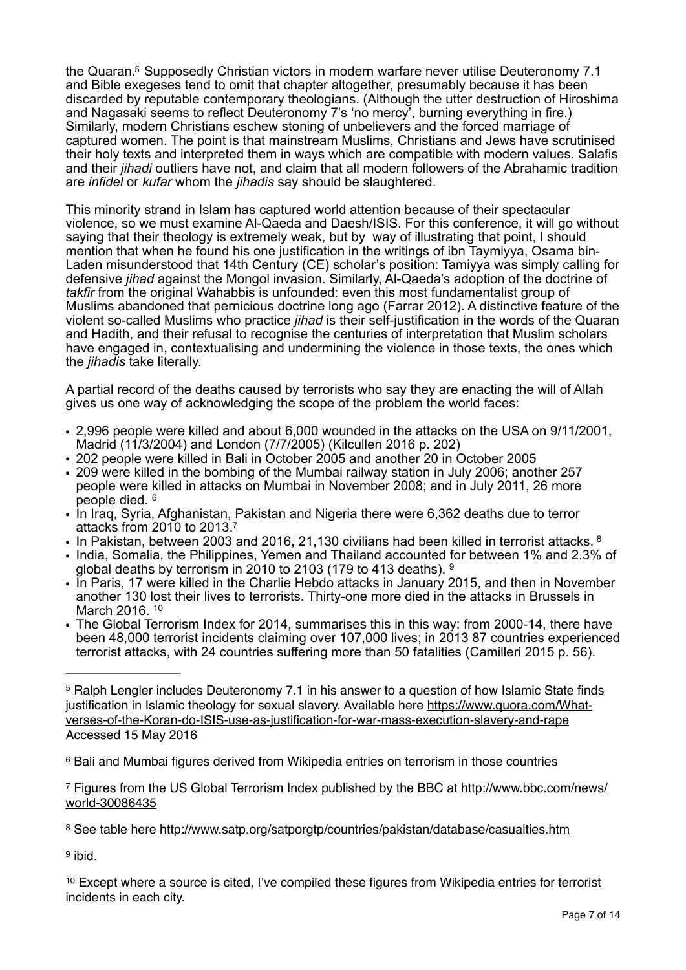<span id="page-6-6"></span>the Quaran.<sup>[5](#page-6-0)</sup> Supposedly Christian victors in modern warfare never utilise Deuteronomy 7.1 and Bible exegeses tend to omit that chapter altogether, presumably because it has been discarded by reputable contemporary theologians. (Although the utter destruction of Hiroshima and Nagasaki seems to reflect Deuteronomy 7's 'no mercy', burning everything in fire.) Similarly, modern Christians eschew stoning of unbelievers and the forced marriage of captured women. The point is that mainstream Muslims, Christians and Jews have scrutinised their holy texts and interpreted them in ways which are compatible with modern values. Salafis and their *jihadi* outliers have not, and claim that all modern followers of the Abrahamic tradition are *infidel* or *kufar* whom the *jihadis* say should be slaughtered.

This minority strand in Islam has captured world attention because of their spectacular violence, so we must examine Al-Qaeda and Daesh/ISIS. For this conference, it will go without saying that their theology is extremely weak, but by way of illustrating that point, I should mention that when he found his one justification in the writings of ibn Taymiyya, Osama bin-Laden misunderstood that 14th Century (CE) scholar's position: Tamiyya was simply calling for defensive *jihad* against the Mongol invasion. Similarly, Al-Qaeda's adoption of the doctrine of *takfir* from the original Wahabbis is unfounded: even this most fundamentalist group of Muslims abandoned that pernicious doctrine long ago (Farrar 2012). A distinctive feature of the violent so-called Muslims who practice *jihad* is their self-justification in the words of the Quaran and Hadith, and their refusal to recognise the centuries of interpretation that Muslim scholars have engaged in, contextualising and undermining the violence in those texts, the ones which the *jihadis* take literally.

A partial record of the deaths caused by terrorists who say they are enacting the will of Allah gives us one way of acknowledging the scope of the problem the world faces:

- *•* 2,996 people were killed and about 6,000 wounded in the attacks on the USA on 9/11/2001, Madrid (11/3/2004) and London (7/7/2005) (Kilcullen 2016 p. 202)
- *•* 202 people were killed in Bali in October 2005 and another 20 in October 2005
- *•* 209 were killed in the bombing of the Mumbai railway station in July 2006; another 257 people were killed in attacks on Mumbai in November 2008; and in July 2011, 26 more people died. [6](#page-6-1)
- <span id="page-6-7"></span>• In Iraq, Syria, Afghanistan, Pakistan and Nigeria there were 6,362 deaths due to terror attacks from 2010 to 2013[.](#page-6-2) [7](#page-6-2)
- <span id="page-6-8"></span>• In Pakistan, between 2003 and 2016, 21,130 civilians had been killed in terrorist attacks. <sup>8</sup>
- <span id="page-6-9"></span>• India, Somalia, the Philippines, Yemen and Thailand accounted for between 1% and 2.3% of global deaths by terrorism in 2010 to 2103 (179 to 413 deaths). [9](#page-6-4)
- <span id="page-6-10"></span>• In Paris, 17 were killed in the Charlie Hebdo attacks in January 2015, and then in November another 130 lost their lives to terrorists. Thirty-one more died in the attacks in Brussels in March 2016. [10](#page-6-5)
- <span id="page-6-11"></span>*•* The Global Terrorism Index for 2014, summarises this in this way: from 2000-14, there have been 48,000 terrorist incidents claiming over 107,000 lives; in 2013 87 countries experienced terrorist attacks, with 24 countries suffering more than 50 fatalities (Camilleri 2015 p. 56).

<span id="page-6-4"></span><sup>[9](#page-6-10)</sup> ibid.

<span id="page-6-5"></span><sup>[10](#page-6-11)</sup> Except where a source is cited, I've compiled these figures from Wikipedia entries for terrorist incidents in each city.

<span id="page-6-0"></span><sup>&</sup>lt;sup>[5](#page-6-6)</sup> Ralph Lengler includes Deuteronomy 7.1 in his answer to a question of how Islamic State finds [justification in Islamic theology for sexual slavery. Available here https://www.quora.com/What](https://www.quora.com/What-verses-of-the-Koran-do-ISIS-use-as-justification-for-war-mass-execution-slavery-and-rape)verses-of-the-Koran-do-ISIS-use-as-justification-for-war-mass-execution-slavery-and-rape Accessed 15 May 2016

<span id="page-6-1"></span><sup>&</sup>lt;sup>[6](#page-6-7)</sup> Bali and Mumbai figures derived from Wikipedia entries on terrorism in those countries

<span id="page-6-2"></span>[Figures from the US Global Terrorism Index published by the BBC at http://www.bbc.com/news/](http://www.bbc.com/news/world-30086435) [7](#page-6-8) world-30086435

<span id="page-6-3"></span><sup>&</sup>lt;sup>[8](#page-6-9)</sup> See table here<http://www.satp.org/satporgtp/countries/pakistan/database/casualties.htm>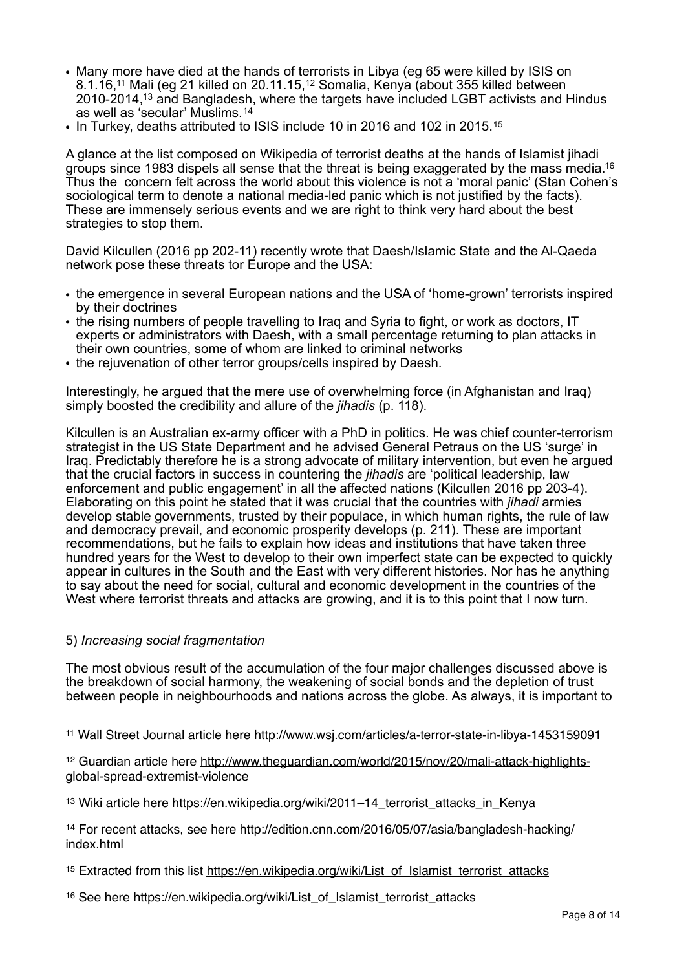- <span id="page-7-7"></span><span id="page-7-6"></span>*•* Many more have died at the hands of terrorists in Libya (eg 65 were killed by ISIS on 8.1.16[,](#page-7-0)<sup>11</sup>Mali (eg 21 killed on 20.[11](#page-7-0).15,<sup>12</sup> Somalia, Kenya (about 355 killed between 2010-2014,<sup>13</sup> and Bangladesh[,](#page-7-2) where the targets have included LGBT activists and Hindus as well as 'secular' Muslims.[14](#page-7-3)
- <span id="page-7-10"></span><span id="page-7-9"></span><span id="page-7-8"></span>*•* In Turkey, deaths attributed to ISIS include 10 in 2016 and 102 in 2015.[15](#page-7-4)

<span id="page-7-11"></span>A glance at the list composed on Wikipedia of terrorist deaths at the hands of Islamist jihadi groups since 1983 dispels all sense that the threat is being exaggerated by the mass media.<sup>16</sup> Thus the concern felt across the world about this violence is not a 'moral panic' (Stan Cohen's sociological term to denote a national media-led panic which is not justified by the facts). These are immensely serious events and we are right to think very hard about the best strategies to stop them.

David Kilcullen (2016 pp 202-11) recently wrote that Daesh/Islamic State and the Al-Qaeda network pose these threats tor Europe and the USA:

- *•* the emergence in several European nations and the USA of 'home-grown' terrorists inspired by their doctrines
- the rising numbers of people travelling to Iraq and Syria to fight, or work as doctors, IT experts or administrators with Daesh, with a small percentage returning to plan attacks in their own countries, some of whom are linked to criminal networks
- the rejuvenation of other terror groups/cells inspired by Daesh.

Interestingly, he argued that the mere use of overwhelming force (in Afghanistan and Iraq) simply boosted the credibility and allure of the *jihadis* (p. 118).

Kilcullen is an Australian ex-army officer with a PhD in politics. He was chief counter-terrorism strategist in the US State Department and he advised General Petraus on the US 'surge' in Iraq. Predictably therefore he is a strong advocate of military intervention, but even he argued that the crucial factors in success in countering the *jihadis* are 'political leadership, law enforcement and public engagement' in all the affected nations (Kilcullen 2016 pp 203-4). Elaborating on this point he stated that it was crucial that the countries with *jihadi* armies develop stable governments, trusted by their populace, in which human rights, the rule of law and democracy prevail, and economic prosperity develops (p. 211). These are important recommendations, but he fails to explain how ideas and institutions that have taken three hundred years for the West to develop to their own imperfect state can be expected to quickly appear in cultures in the South and the East with very different histories. Nor has he anything to say about the need for social, cultural and economic development in the countries of the West where terrorist threats and attacks are growing, and it is to this point that I now turn.

#### 5) *Increasing social fragmentation*

The most obvious result of the accumulation of the four major challenges discussed above is the breakdown of social harmony, the weakening of social bonds and the depletion of trust between people in neighbourhoods and nations across the globe. As always, it is important to

<span id="page-7-0"></span>[<sup>11</sup>](#page-7-6) Wall Street Journal article here<http://www.wsj.com/articles/a-terror-state-in-libya-1453159091>

<span id="page-7-1"></span><sup>&</sup>lt;sup>12</sup> [Guardian article here http://www.theguardian.com/world/2015/nov/20/mali-attack-highlights](http://www.theguardian.com/world/2015/nov/20/mali-attack-highlights-global-spread-extremist-violence) global-spread-extremist-violence

<span id="page-7-2"></span><sup>&</sup>lt;sup>[13](#page-7-8)</sup> Wiki article here https://en.wikipedia.org/wiki/2011–14 terrorist attacks in Kenya

<span id="page-7-3"></span><sup>&</sup>lt;sup>14</sup> [For recent attacks, see here http://edition.cnn.com/2016/05/07/asia/bangladesh-hacking/](http://edition.cnn.com/2016/05/07/asia/bangladesh-hacking/index.html) index.html

<span id="page-7-4"></span><sup>&</sup>lt;sup>15</sup> Extracted from this list [https://en.wikipedia.org/wiki/List\\_of\\_Islamist\\_terrorist\\_attacks](https://en.wikipedia.org/wiki/List_of_Islamist_terrorist_attacks)

<span id="page-7-5"></span><sup>&</sup>lt;sup>16</sup> See here [https://en.wikipedia.org/wiki/List\\_of\\_Islamist\\_terrorist\\_attacks](https://en.wikipedia.org/wiki/List_of_Islamist_terrorist_attacks)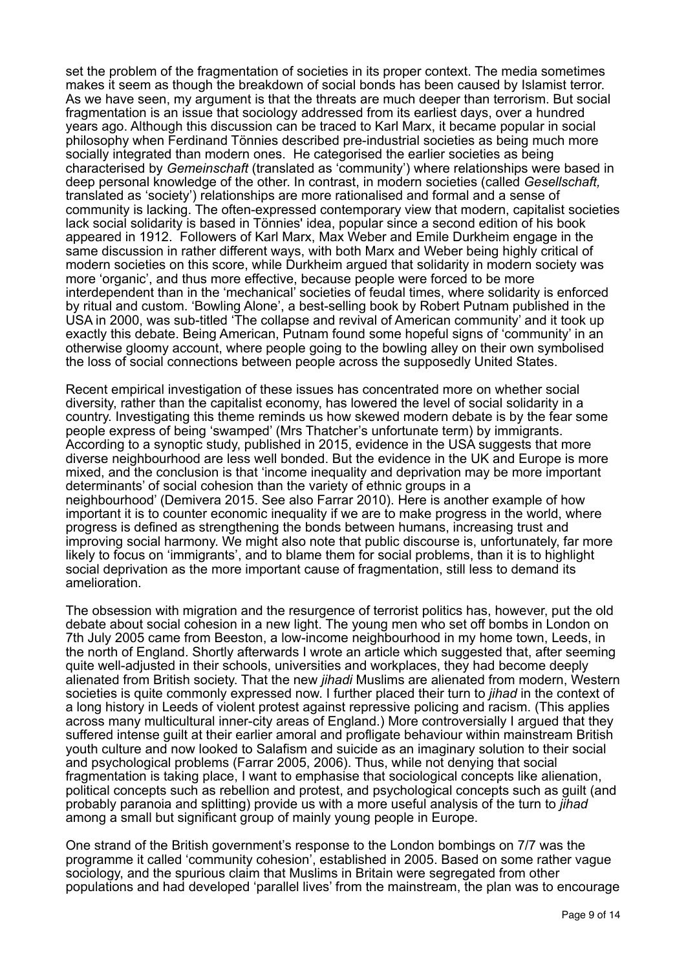set the problem of the fragmentation of societies in its proper context. The media sometimes makes it seem as though the breakdown of social bonds has been caused by Islamist terror. As we have seen, my argument is that the threats are much deeper than terrorism. But social fragmentation is an issue that sociology addressed from its earliest days, over a hundred years ago. Although this discussion can be traced to Karl Marx, it became popular in social philosophy when Ferdinand Tönnies described pre-industrial societies as being much more socially integrated than modern ones. He categorised the earlier societies as being characterised by *Gemeinschaft* (translated as 'community') where relationships were based in deep personal knowledge of the other. In contrast, in modern societies (called *Gesellschaft,*  translated as 'society') relationships are more rationalised and formal and a sense of community is lacking. The often-expressed contemporary view that modern, capitalist societies lack social solidarity is based in Tönnies' idea, popular since a second edition of his book appeared in 1912. Followers of Karl Marx, Max Weber and Emile Durkheim engage in the same discussion in rather different ways, with both Marx and Weber being highly critical of modern societies on this score, while Durkheim argued that solidarity in modern society was more 'organic', and thus more effective, because people were forced to be more interdependent than in the 'mechanical' societies of feudal times, where solidarity is enforced by ritual and custom. 'Bowling Alone', a best-selling book by Robert Putnam published in the USA in 2000, was sub-titled 'The collapse and revival of American community' and it took up exactly this debate. Being American, Putnam found some hopeful signs of 'community' in an otherwise gloomy account, where people going to the bowling alley on their own symbolised the loss of social connections between people across the supposedly United States.

Recent empirical investigation of these issues has concentrated more on whether social diversity, rather than the capitalist economy, has lowered the level of social solidarity in a country. Investigating this theme reminds us how skewed modern debate is by the fear some people express of being 'swamped' (Mrs Thatcher's unfortunate term) by immigrants. According to a synoptic study, published in 2015, evidence in the USA suggests that more diverse neighbourhood are less well bonded. But the evidence in the UK and Europe is more mixed, and the conclusion is that 'income inequality and deprivation may be more important determinants' of social cohesion than the variety of ethnic groups in a neighbourhood' (Demivera 2015. See also Farrar 2010). Here is another example of how important it is to counter economic inequality if we are to make progress in the world, where progress is defined as strengthening the bonds between humans, increasing trust and improving social harmony. We might also note that public discourse is, unfortunately, far more likely to focus on 'immigrants', and to blame them for social problems, than it is to highlight social deprivation as the more important cause of fragmentation, still less to demand its amelioration.

The obsession with migration and the resurgence of terrorist politics has, however, put the old debate about social cohesion in a new light. The young men who set off bombs in London on 7th July 2005 came from Beeston, a low-income neighbourhood in my home town, Leeds, in the north of England. Shortly afterwards I wrote an article which suggested that, after seeming quite well-adjusted in their schools, universities and workplaces, they had become deeply alienated from British society. That the new *jihadi* Muslims are alienated from modern, Western societies is quite commonly expressed now. I further placed their turn to *jihad* in the context of a long history in Leeds of violent protest against repressive policing and racism. (This applies across many multicultural inner-city areas of England.) More controversially I argued that they suffered intense guilt at their earlier amoral and profligate behaviour within mainstream British youth culture and now looked to Salafism and suicide as an imaginary solution to their social and psychological problems (Farrar 2005, 2006). Thus, while not denying that social fragmentation is taking place, I want to emphasise that sociological concepts like alienation, political concepts such as rebellion and protest, and psychological concepts such as guilt (and probably paranoia and splitting) provide us with a more useful analysis of the turn to *jihad*  among a small but significant group of mainly young people in Europe.

One strand of the British government's response to the London bombings on 7/7 was the programme it called 'community cohesion', established in 2005. Based on some rather vague sociology, and the spurious claim that Muslims in Britain were segregated from other populations and had developed 'parallel lives' from the mainstream, the plan was to encourage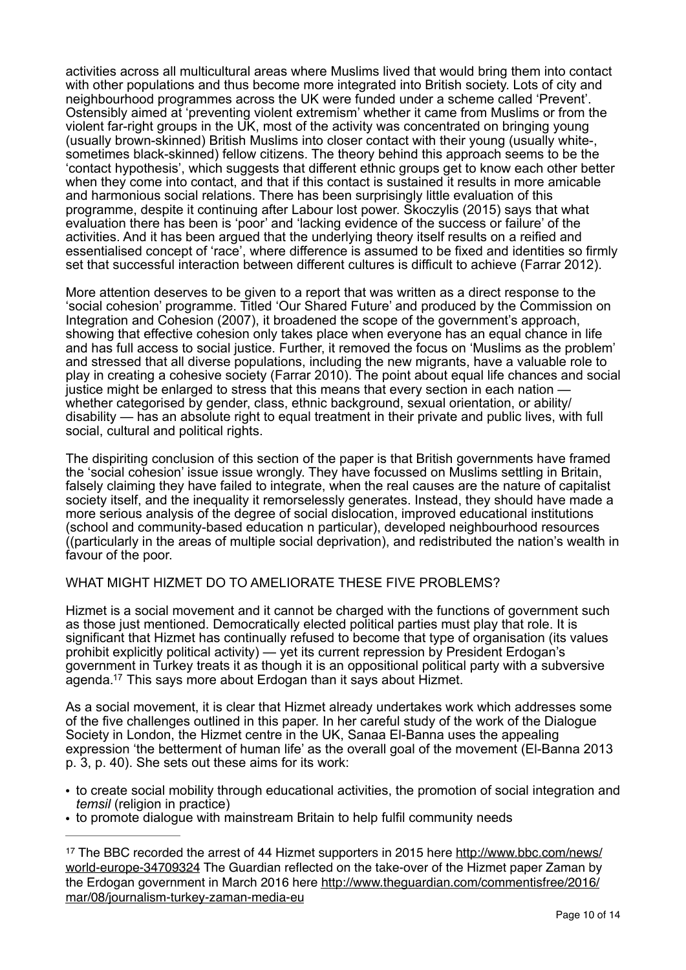activities across all multicultural areas where Muslims lived that would bring them into contact with other populations and thus become more integrated into British society. Lots of city and neighbourhood programmes across the UK were funded under a scheme called 'Prevent'. Ostensibly aimed at 'preventing violent extremism' whether it came from Muslims or from the violent far-right groups in the UK, most of the activity was concentrated on bringing young (usually brown-skinned) British Muslims into closer contact with their young (usually white-, sometimes black-skinned) fellow citizens. The theory behind this approach seems to be the 'contact hypothesis', which suggests that different ethnic groups get to know each other better when they come into contact, and that if this contact is sustained it results in more amicable and harmonious social relations. There has been surprisingly little evaluation of this programme, despite it continuing after Labour lost power. Skoczylis (2015) says that what evaluation there has been is 'poor' and 'lacking evidence of the success or failure' of the activities. And it has been argued that the underlying theory itself results on a reified and essentialised concept of 'race', where difference is assumed to be fixed and identities so firmly set that successful interaction between different cultures is difficult to achieve (Farrar 2012).

More attention deserves to be given to a report that was written as a direct response to the 'social cohesion' programme. Titled 'Our Shared Future' and produced by the Commission on Integration and Cohesion (2007), it broadened the scope of the government's approach, showing that effective cohesion only takes place when everyone has an equal chance in life and has full access to social justice. Further, it removed the focus on 'Muslims as the problem' and stressed that all diverse populations, including the new migrants, have a valuable role to play in creating a cohesive society (Farrar 2010). The point about equal life chances and social justice might be enlarged to stress that this means that every section in each nation whether categorised by gender, class, ethnic background, sexual orientation, or ability/ disability — has an absolute right to equal treatment in their private and public lives, with full social, cultural and political rights.

The dispiriting conclusion of this section of the paper is that British governments have framed the 'social cohesion' issue issue wrongly. They have focussed on Muslims settling in Britain, falsely claiming they have failed to integrate, when the real causes are the nature of capitalist society itself, and the inequality it remorselessly generates. Instead, they should have made a more serious analysis of the degree of social dislocation, improved educational institutions (school and community-based education n particular), developed neighbourhood resources ((particularly in the areas of multiple social deprivation), and redistributed the nation's wealth in favour of the poor.

#### WHAT MIGHT HIZMET DO TO AMELIORATE THESE FIVE PROBLEMS?

Hizmet is a social movement and it cannot be charged with the functions of government such as those just mentioned. Democratically elected political parties must play that role. It is significant that Hizmet has continually refused to become that type of organisation (its values prohibit explicitly political activity) — yet its current repression by President Erdogan's government in Turkey treats it as though it is an oppositional political party with a subversive agenda[.](#page-9-0)<sup>[17](#page-9-0)</sup> This says more about Erdogan than it says about Hizmet.

<span id="page-9-1"></span>As a social movement, it is clear that Hizmet already undertakes work which addresses some of the five challenges outlined in this paper. In her careful study of the work of the Dialogue Society in London, the Hizmet centre in the UK, Sanaa El-Banna uses the appealing expression 'the betterment of human life' as the overall goal of the movement (El-Banna 2013 p. 3, p. 40). She sets out these aims for its work:

- to create social mobility through educational activities, the promotion of social integration and *temsil* (religion in practice)
- to promote dialogue with mainstream Britain to help fulfil community needs

<span id="page-9-0"></span><sup>&</sup>lt;sup>17</sup> [The BBC recorded the arrest of 44 Hizmet supporters in 2015 here http://www.bbc.com/news/](http://www.bbc.com/news/world-europe-34709324) world-europe-34709324 The Guardian reflected on the take-over of the Hizmet paper Zaman by [the Erdogan government in March 2016 here http://www.theguardian.com/commentisfree/2016/](http://www.theguardian.com/commentisfree/2016/mar/08/journalism-turkey-zaman-media-eu) mar/08/journalism-turkey-zaman-media-eu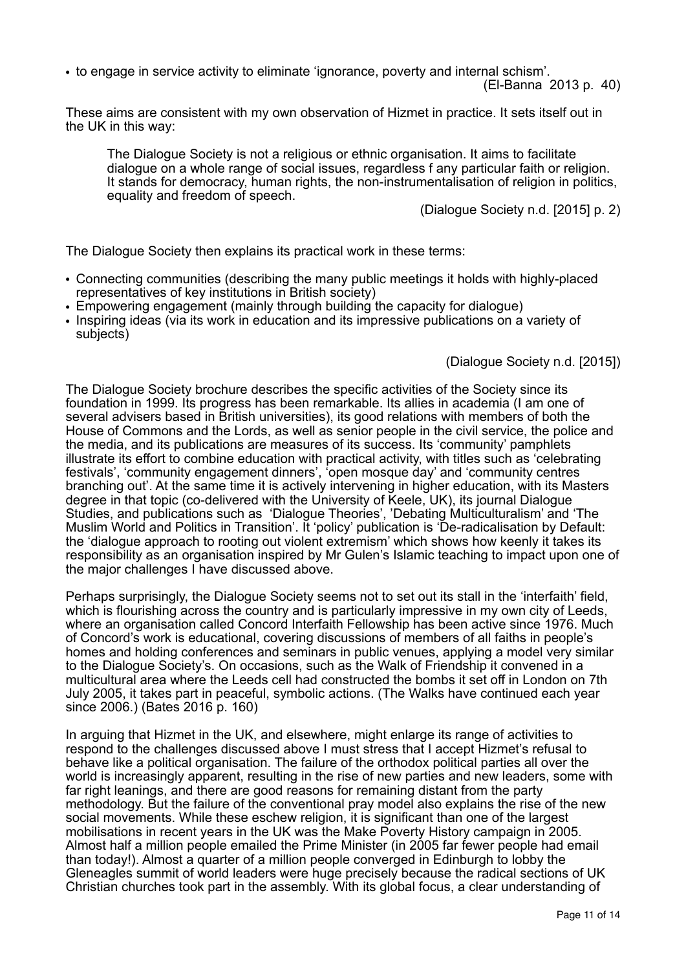• to engage in service activity to eliminate 'ignorance, poverty and internal schism'.

(El-Banna 2013 p. 40)

These aims are consistent with my own observation of Hizmet in practice. It sets itself out in the UK in this way:

The Dialogue Society is not a religious or ethnic organisation. It aims to facilitate dialogue on a whole range of social issues, regardless f any particular faith or religion. It stands for democracy, human rights, the non-instrumentalisation of religion in politics, equality and freedom of speech.

(Dialogue Society n.d. [2015] p. 2)

The Dialogue Society then explains its practical work in these terms:

- Connecting communities (describing the many public meetings it holds with highly-placed representatives of key institutions in British society)
- Empowering engagement (mainly through building the capacity for dialogue)
- Inspiring ideas (via its work in education and its impressive publications on a variety of subjects)

(Dialogue Society n.d. [2015])

The Dialogue Society brochure describes the specific activities of the Society since its foundation in 1999. Its progress has been remarkable. Its allies in academia (I am one of several advisers based in British universities), its good relations with members of both the House of Commons and the Lords, as well as senior people in the civil service, the police and the media, and its publications are measures of its success. Its 'community' pamphlets illustrate its effort to combine education with practical activity, with titles such as 'celebrating festivals', 'community engagement dinners', 'open mosque day' and 'community centres branching out'. At the same time it is actively intervening in higher education, with its Masters degree in that topic (co-delivered with the University of Keele, UK), its journal Dialogue Studies, and publications such as 'Dialogue Theories', 'Debating Multiculturalism' and 'The Muslim World and Politics in Transition'. It 'policy' publication is 'De-radicalisation by Default: the 'dialogue approach to rooting out violent extremism' which shows how keenly it takes its responsibility as an organisation inspired by Mr Gulen's Islamic teaching to impact upon one of the major challenges I have discussed above.

Perhaps surprisingly, the Dialogue Society seems not to set out its stall in the 'interfaith' field, which is flourishing across the country and is particularly impressive in my own city of Leeds, where an organisation called Concord Interfaith Fellowship has been active since 1976. Much of Concord's work is educational, covering discussions of members of all faiths in people's homes and holding conferences and seminars in public venues, applying a model very similar to the Dialogue Society's. On occasions, such as the Walk of Friendship it convened in a multicultural area where the Leeds cell had constructed the bombs it set off in London on 7th July 2005, it takes part in peaceful, symbolic actions. (The Walks have continued each year since 2006.) (Bates 2016 p. 160)

In arguing that Hizmet in the UK, and elsewhere, might enlarge its range of activities to respond to the challenges discussed above I must stress that I accept Hizmet's refusal to behave like a political organisation. The failure of the orthodox political parties all over the world is increasingly apparent, resulting in the rise of new parties and new leaders, some with far right leanings, and there are good reasons for remaining distant from the party methodology. But the failure of the conventional pray model also explains the rise of the new social movements. While these eschew religion, it is significant than one of the largest mobilisations in recent years in the UK was the Make Poverty History campaign in 2005. Almost half a million people emailed the Prime Minister (in 2005 far fewer people had email than today!). Almost a quarter of a million people converged in Edinburgh to lobby the Gleneagles summit of world leaders were huge precisely because the radical sections of UK Christian churches took part in the assembly. With its global focus, a clear understanding of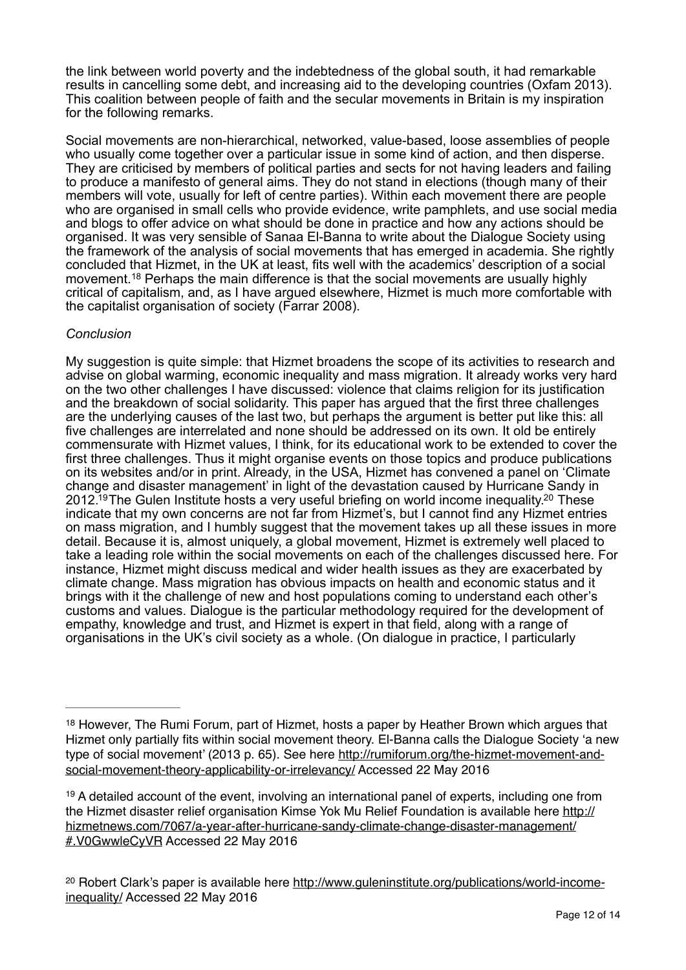the link between world poverty and the indebtedness of the global south, it had remarkable results in cancelling some debt, and increasing aid to the developing countries (Oxfam 2013). This coalition between people of faith and the secular movements in Britain is my inspiration for the following remarks.

Social movements are non-hierarchical, networked, value-based, loose assemblies of people who usually come together over a particular issue in some kind of action, and then disperse. They are criticised by members of political parties and sects for not having leaders and failing to produce a manifesto of general aims. They do not stand in elections (though many of their members will vote, usually for left of centre parties). Within each movement there are people who are organised in small cells who provide evidence, write pamphlets, and use social media and blogs to offer advice on what should be done in practice and how any actions should be organised. It was very sensible of Sanaa El-Banna to write about the Dialogue Society using the framework of the analysis of social movements that has emerged in academia. She rightly concluded that Hizmet, in the UK at least, fits well with the academics' description of a social movement.<sup>[18](#page-11-0)</sup> Perhaps the main difference is that the social movements are usually highly critical of capitalism, and, as I have argued elsewhere, Hizmet is much more comfortable with the capitalist organisation of society (Farrar 2008).

## <span id="page-11-3"></span>*Conclusion*

<span id="page-11-5"></span><span id="page-11-4"></span>My suggestion is quite simple: that Hizmet broadens the scope of its activities to research and advise on global warming, economic inequality and mass migration. It already works very hard on the two other challenges I have discussed: violence that claims religion for its justification and the breakdown of social solidarity. This paper has argued that the first three challenges are the underlying causes of the last two, but perhaps the argument is better put like this: all five challenges are interrelated and none should be addressed on its own. It old be entirely commensurate with Hizmet values, I think, for its educational work to be extended to cover the first three challenges. Thus it might organise events on those topics and produce publications on its websites and/or in print. Already, in the USA, Hizmet has convened a panel on 'Climate change and disaster management' in light of the devastation caused by Hurricane Sandy in 2012[.](#page-11-2)<sup>[19](#page-11-1)</sup> The Gulen Institute hosts a very useful briefing on world income inequality.<sup>20</sup> These indicate that my own concerns are not far from Hizmet's, but I cannot find any Hizmet entries on mass migration, and I humbly suggest that the movement takes up all these issues in more detail. Because it is, almost uniquely, a global movement, Hizmet is extremely well placed to take a leading role within the social movements on each of the challenges discussed here. For instance, Hizmet might discuss medical and wider health issues as they are exacerbated by climate change. Mass migration has obvious impacts on health and economic status and it brings with it the challenge of new and host populations coming to understand each other's customs and values. Dialogue is the particular methodology required for the development of empathy, knowledge and trust, and Hizmet is expert in that field, along with a range of organisations in the UK's civil society as a whole. (On dialogue in practice, I particularly

<span id="page-11-0"></span> $18$  However, The Rumi Forum, part of Hizmet, hosts a paper by Heather Brown which argues that Hizmet only partially fits within social movement theory. El-Banna calls the Dialogue Society 'a new [type of social movement' \(2013 p. 65\). See here http://rumiforum.org/the-hizmet-movement-and](http://rumiforum.org/the-hizmet-movement-and-social-movement-theory-applicability-or-irrelevancy/)social-movement-theory-applicability-or-irrelevancy/ Accessed 22 May 2016

<span id="page-11-1"></span><sup>&</sup>lt;sup>[19](#page-11-4)</sup> A detailed account of the event, involving an international panel of experts, including one from [the Hizmet disaster relief organisation Kimse Yok Mu Relief Foundation is available here http://](http://hizmetnews.com/7067/a-year-after-hurricane-sandy-climate-change-disaster-management/#.V0GwwleCyVR) hizmetnews.com/7067/a-year-after-hurricane-sandy-climate-change-disaster-management/ #.V0GwwleCyVR Accessed 22 May 2016

<span id="page-11-2"></span><sup>&</sup>lt;sup>20</sup> [Robert Clark's paper is available here http://www.guleninstitute.org/publications/world-income](http://www.guleninstitute.org/publications/world-income-inequality/) inequality/ Accessed 22 May 2016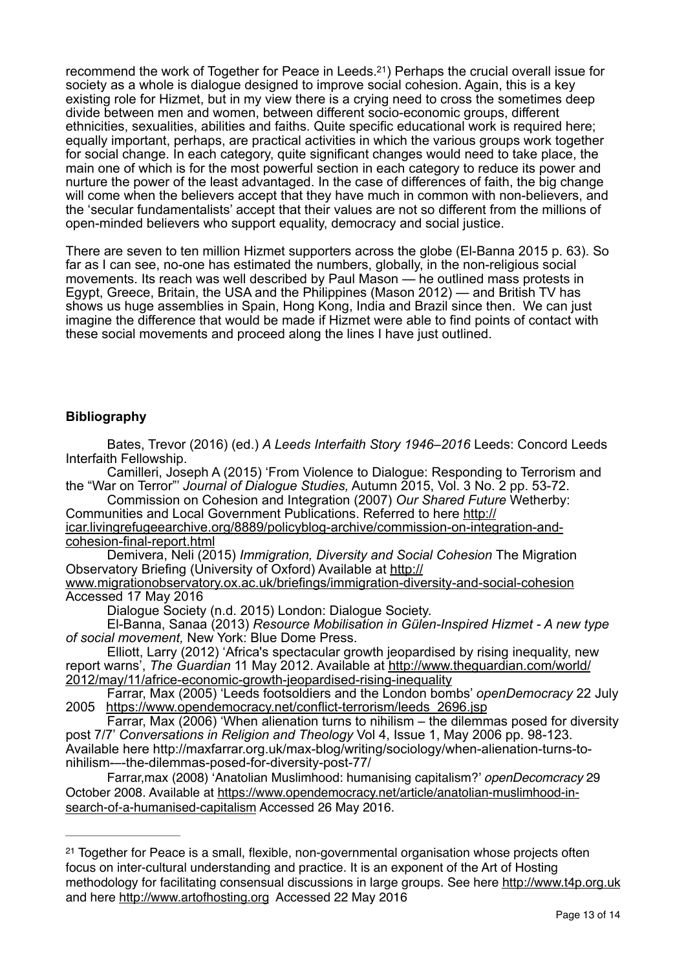<span id="page-12-1"></span>recommend the work of Together for Peace in Leeds. $21$  Perhaps the crucial overall issue for society as a whole is dialogue designed to improve social cohesion. Again, this is a key existing role for Hizmet, but in my view there is a crying need to cross the sometimes deep divide between men and women, between different socio-economic groups, different ethnicities, sexualities, abilities and faiths. Quite specific educational work is required here; equally important, perhaps, are practical activities in which the various groups work together for social change. In each category, quite significant changes would need to take place, the main one of which is for the most powerful section in each category to reduce its power and nurture the power of the least advantaged. In the case of differences of faith, the big change will come when the believers accept that they have much in common with non-believers, and the 'secular fundamentalists' accept that their values are not so different from the millions of open-minded believers who support equality, democracy and social justice.

There are seven to ten million Hizmet supporters across the globe (El-Banna 2015 p. 63). So far as I can see, no-one has estimated the numbers, globally, in the non-religious social movements. Its reach was well described by Paul Mason — he outlined mass protests in Egypt, Greece, Britain, the USA and the Philippines (Mason 2012) — and British TV has shows us huge assemblies in Spain, Hong Kong, India and Brazil since then. We can just imagine the difference that would be made if Hizmet were able to find points of contact with these social movements and proceed along the lines I have just outlined.

## **Bibliography**

 Bates, Trevor (2016) (ed.) *A Leeds Interfaith Story 1946–2016* Leeds: Concord Leeds Interfaith Fellowship.

 Camilleri, Joseph A (2015) 'From Violence to Dialogue: Responding to Terrorism and the "War on Terror"' *Journal of Dialogue Studies,* Autumn 2015, Vol. 3 No. 2 pp. 53-72.

 Commission on Cohesion and Integration (2007) *Our Shared Future* Wetherby: Communities and Local Government Publications. Referred to here http:// [icar.livingrefugeearchive.org/8889/policyblog-archive/commission-on-integration-and-](http://icar.livingrefugeearchive.org/8889/policyblog-archive/commission-on-integration-and-cohesion-final-report.html)

cohesion-final-report.html

 Demivera, Neli (2015) *Immigration, Diversity and Social Cohesion* The Migration Observatory Briefing (University of Oxford) Available at http://

[www.migrationobservatory.ox.ac.uk/briefings/immigration-diversity-and-social-cohesion](http://www.migrationobservatory.ox.ac.uk/briefings/immigration-diversity-and-social-cohesion) Accessed 17 May 2016

Dialogue Society (n.d. 2015) London: Dialogue Society.

 El-Banna, Sanaa (2013) *Resource Mobilisation in Gülen-Inspired Hizmet - A new type of social movement,* New York: Blue Dome Press.

 Elliott, Larry (2012) 'Africa's spectacular growth jeopardised by rising inequality, new report warns', *The Guardian* 11 May 2012. Available at http://www.theguardian.com/world/ [2012/may/11/africe-economic-growth-jeopardised-rising-inequality](http://www.theguardian.com/world/2012/may/11/africe-economic-growth-jeopardised-rising-inequality)

 Farrar, Max (2005) 'Leeds footsoldiers and the London bombs' *openDemocracy* 22 July 2005 [https://www.opendemocracy.net/conflict-terrorism/leeds\\_2696.jsp](https://www.opendemocracy.net/conflict-terrorism/leeds_2696.jsp)

 Farrar, Max (2006) 'When alienation turns to nihilism – the dilemmas posed for diversity post 7/7' *Conversations in Religion and Theology* Vol 4, Issue 1, May 2006 pp. 98-123. Available here http://maxfarrar.org.uk/max-blog/writing/sociology/when-alienation-turns-tonihilism-–-the-dilemmas-posed-for-diversity-post-77/

Farrar,max (2008) 'Anatolian Muslimhood: humanising capitalism?' *openDecomcracy* 29 [October 2008. Available at https://www.opendemocracy.net/article/anatolian-muslimhood-in](https://www.opendemocracy.net/article/anatolian-muslimhood-in-search-of-a-humanised-capitalism)search-of-a-humanised-capitalism Accessed 26 May 2016.

<span id="page-12-0"></span><sup>&</sup>lt;sup>[21](#page-12-1)</sup> Together for Peace is a small, flexible, non-governmental organisation whose projects often focus on inter-cultural understanding and practice. It is an exponent of the Art of Hosting methodology for facilitating consensual discussions in large groups. See here<http://www.t4p.org.uk> and here<http://www.artofhosting.org> Accessed 22 May 2016